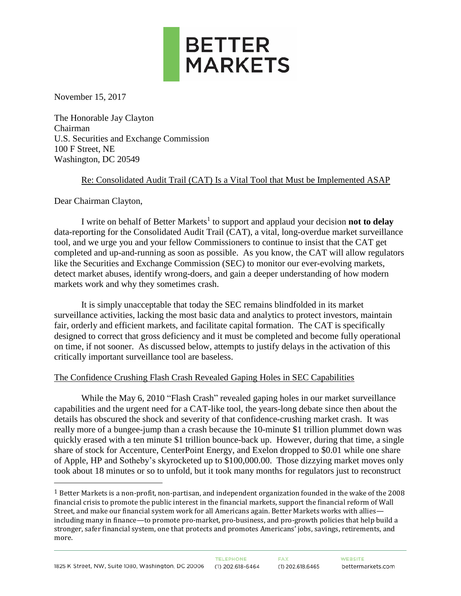

November 15, 2017

The Honorable Jay Clayton Chairman U.S. Securities and Exchange Commission 100 F Street, NE Washington, DC 20549

# Re: Consolidated Audit Trail (CAT) Is a Vital Tool that Must be Implemented ASAP

Dear Chairman Clayton,

 $\overline{a}$ 

I write on behalf of Better Markets<sup>1</sup> to support and applaud your decision **not to delay** data-reporting for the Consolidated Audit Trail (CAT), a vital, long-overdue market surveillance tool, and we urge you and your fellow Commissioners to continue to insist that the CAT get completed and up-and-running as soon as possible. As you know, the CAT will allow regulators like the Securities and Exchange Commission (SEC) to monitor our ever-evolving markets, detect market abuses, identify wrong-doers, and gain a deeper understanding of how modern markets work and why they sometimes crash.

It is simply unacceptable that today the SEC remains blindfolded in its market surveillance activities, lacking the most basic data and analytics to protect investors, maintain fair, orderly and efficient markets, and facilitate capital formation. The CAT is specifically designed to correct that gross deficiency and it must be completed and become fully operational on time, if not sooner. As discussed below, attempts to justify delays in the activation of this critically important surveillance tool are baseless.

# The Confidence Crushing Flash Crash Revealed Gaping Holes in SEC Capabilities

While the May 6, 2010 "Flash Crash" revealed gaping holes in our market surveillance capabilities and the urgent need for a CAT-like tool, the years-long debate since then about the details has obscured the shock and severity of that confidence-crushing market crash. It was really more of a bungee-jump than a crash because the 10-minute \$1 trillion plummet down was quickly erased with a ten minute \$1 trillion bounce-back up. However, during that time, a single share of stock for Accenture, CenterPoint Energy, and Exelon dropped to \$0.01 while one share of Apple, HP and Sotheby's skyrocketed up to \$100,000.00. Those dizzying market moves only took about 18 minutes or so to unfold, but it took many months for regulators just to reconstruct

<sup>1</sup> Better Markets is a non-profit, non-partisan, and independent organization founded in the wake of the 2008 financial crisis to promote the public interest in the financial markets, support the financial reform of Wall Street, and make our financial system work for all Americans again. Better Markets works with allies including many in finance—to promote pro-market, pro-business, and pro-growth policies that help build a stronger, safer financial system, one that protects and promotes Americans' jobs, savings, retirements, and more.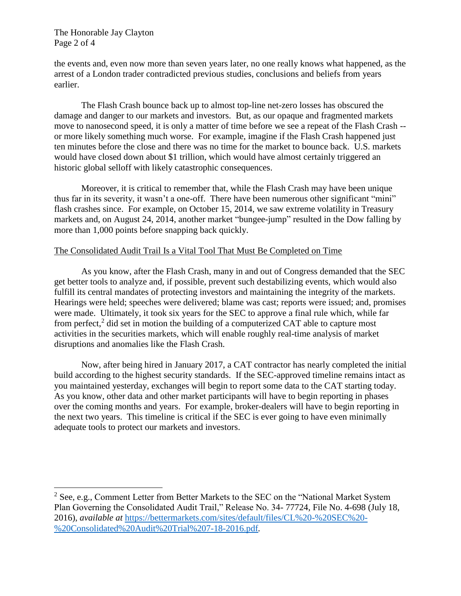The Honorable Jay Clayton Page 2 of 4

 $\overline{a}$ 

the events and, even now more than seven years later, no one really knows what happened, as the arrest of a London trader contradicted previous studies, conclusions and beliefs from years earlier.

The Flash Crash bounce back up to almost top-line net-zero losses has obscured the damage and danger to our markets and investors. But, as our opaque and fragmented markets move to nanosecond speed, it is only a matter of time before we see a repeat of the Flash Crash - or more likely something much worse. For example, imagine if the Flash Crash happened just ten minutes before the close and there was no time for the market to bounce back. U.S. markets would have closed down about \$1 trillion, which would have almost certainly triggered an historic global selloff with likely catastrophic consequences.

Moreover, it is critical to remember that, while the Flash Crash may have been unique thus far in its severity, it wasn't a one-off. There have been numerous other significant "mini" flash crashes since. For example, on October 15, 2014, we saw extreme volatility in Treasury markets and, on August 24, 2014, another market "bungee-jump" resulted in the Dow falling by more than 1,000 points before snapping back quickly.

# The Consolidated Audit Trail Is a Vital Tool That Must Be Completed on Time

As you know, after the Flash Crash, many in and out of Congress demanded that the SEC get better tools to analyze and, if possible, prevent such destabilizing events, which would also fulfill its central mandates of protecting investors and maintaining the integrity of the markets. Hearings were held; speeches were delivered; blame was cast; reports were issued; and, promises were made. Ultimately, it took six years for the SEC to approve a final rule which, while far from perfect,<sup>2</sup> did set in motion the building of a computerized CAT able to capture most activities in the securities markets, which will enable roughly real-time analysis of market disruptions and anomalies like the Flash Crash.

Now, after being hired in January 2017, a CAT contractor has nearly completed the initial build according to the highest security standards. If the SEC-approved timeline remains intact as you maintained yesterday, exchanges will begin to report some data to the CAT starting today. As you know, other data and other market participants will have to begin reporting in phases over the coming months and years. For example, broker-dealers will have to begin reporting in the next two years. This timeline is critical if the SEC is ever going to have even minimally adequate tools to protect our markets and investors.

 $2$  See, e.g., Comment Letter from Better Markets to the SEC on the "National Market System" Plan Governing the Consolidated Audit Trail," Release No. 34- 77724, File No. 4-698 (July 18, 2016), *available at* [https://bettermarkets.com/sites/default/files/CL%20-%20SEC%20-](https://bettermarkets.com/sites/default/files/CL%20-%20SEC%20-%20Consolidated%20Audit%20Trial%207-18-2016.pdf) [%20Consolidated%20Audit%20Trial%207-18-2016.pdf](https://bettermarkets.com/sites/default/files/CL%20-%20SEC%20-%20Consolidated%20Audit%20Trial%207-18-2016.pdf)*.*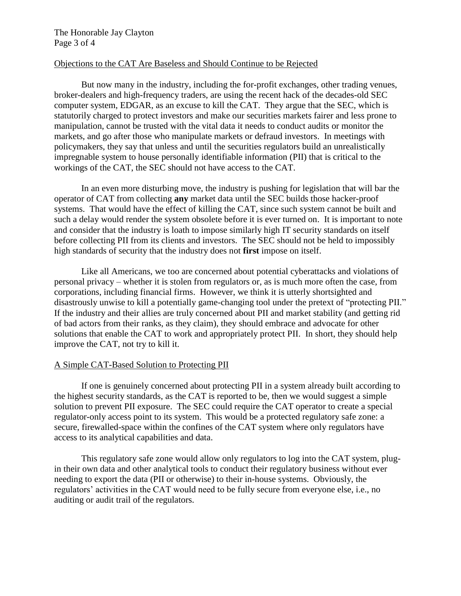# The Honorable Jay Clayton Page 3 of 4

### Objections to the CAT Are Baseless and Should Continue to be Rejected

But now many in the industry, including the for-profit exchanges, other trading venues, broker-dealers and high-frequency traders, are using the recent hack of the decades-old SEC computer system, EDGAR, as an excuse to kill the CAT. They argue that the SEC, which is statutorily charged to protect investors and make our securities markets fairer and less prone to manipulation, cannot be trusted with the vital data it needs to conduct audits or monitor the markets, and go after those who manipulate markets or defraud investors. In meetings with policymakers, they say that unless and until the securities regulators build an unrealistically impregnable system to house personally identifiable information (PII) that is critical to the workings of the CAT, the SEC should not have access to the CAT.

In an even more disturbing move, the industry is pushing for legislation that will bar the operator of CAT from collecting **any** market data until the SEC builds those hacker-proof systems. That would have the effect of killing the CAT, since such system cannot be built and such a delay would render the system obsolete before it is ever turned on. It is important to note and consider that the industry is loath to impose similarly high IT security standards on itself before collecting PII from its clients and investors. The SEC should not be held to impossibly high standards of security that the industry does not **first** impose on itself.

Like all Americans, we too are concerned about potential cyberattacks and violations of personal privacy – whether it is stolen from regulators or, as is much more often the case, from corporations, including financial firms. However, we think it is utterly shortsighted and disastrously unwise to kill a potentially game-changing tool under the pretext of "protecting PII." If the industry and their allies are truly concerned about PII and market stability (and getting rid of bad actors from their ranks, as they claim), they should embrace and advocate for other solutions that enable the CAT to work and appropriately protect PII. In short, they should help improve the CAT, not try to kill it.

#### A Simple CAT-Based Solution to Protecting PII

If one is genuinely concerned about protecting PII in a system already built according to the highest security standards, as the CAT is reported to be, then we would suggest a simple solution to prevent PII exposure. The SEC could require the CAT operator to create a special regulator-only access point to its system. This would be a protected regulatory safe zone: a secure, firewalled-space within the confines of the CAT system where only regulators have access to its analytical capabilities and data.

This regulatory safe zone would allow only regulators to log into the CAT system, plugin their own data and other analytical tools to conduct their regulatory business without ever needing to export the data (PII or otherwise) to their in-house systems. Obviously, the regulators' activities in the CAT would need to be fully secure from everyone else, i.e., no auditing or audit trail of the regulators.